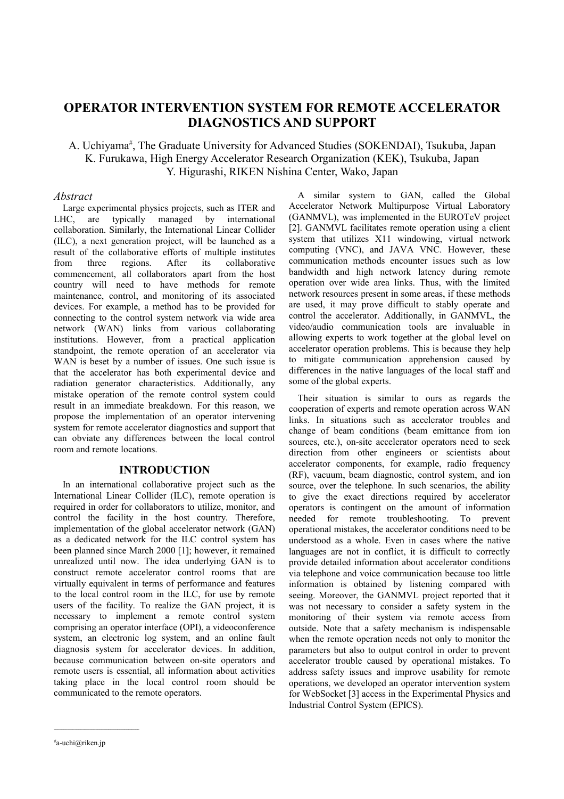# **OPERATOR INTERVENTION SYSTEM FOR REMOTE ACCELERATOR DIAGNOSTICS AND SUPPORT**

# A. Uchiyama<sup>#</sup>, The Graduate University for Advanced Studies (SOKENDAI), Tsukuba, Japan K. Furukawa, High Energy Accelerator Research Organization (KEK), Tsukuba, Japan Y. Higurashi, RIKEN Nishina Center, Wako, Japan

### *Abstract*

Large experimental physics projects, such as ITER and LHC, are typically managed by international collaboration. Similarly, the International Linear Collider (ILC), a next generation project, will be launched as a result of the collaborative efforts of multiple institutes from three regions. After its collaborative commencement, all collaborators apart from the host country will need to have methods for remote maintenance, control, and monitoring of its associated devices. For example, a method has to be provided for connecting to the control system network via wide area network (WAN) links from various collaborating institutions. However, from a practical application standpoint, the remote operation of an accelerator via WAN is beset by a number of issues. One such issue is that the accelerator has both experimental device and radiation generator characteristics. Additionally, any mistake operation of the remote control system could result in an immediate breakdown. For this reason, we propose the implementation of an operator intervening system for remote accelerator diagnostics and support that can obviate any differences between the local control room and remote locations.

### **INTRODUCTION**

In an international collaborative project such as the International Linear Collider (ILC), remote operation is required in order for collaborators to utilize, monitor, and control the facility in the host country. Therefore, implementation of the global accelerator network (GAN) as a dedicated network for the ILC control system has been planned since March 2000 [1]; however, it remained unrealized until now. The idea underlying GAN is to construct remote accelerator control rooms that are virtually equivalent in terms of performance and features to the local control room in the ILC, for use by remote users of the facility. To realize the GAN project, it is necessary to implement a remote control system comprising an operator interface (OPI), a videoconference system, an electronic log system, and an online fault diagnosis system for accelerator devices. In addition, because communication between on-site operators and remote users is essential, all information about activities taking place in the local control room should be communicated to the remote operators.

A similar system to GAN, called the Global Accelerator Network Multipurpose Virtual Laboratory (GANMVL), was implemented in the EUROTeV project [2]. GANMVL facilitates remote operation using a client system that utilizes X11 windowing, virtual network computing (VNC), and JAVA VNC. However, these communication methods encounter issues such as low bandwidth and high network latency during remote operation over wide area links. Thus, with the limited network resources present in some areas, if these methods are used, it may prove difficult to stably operate and control the accelerator. Additionally, in GANMVL, the video/audio communication tools are invaluable in allowing experts to work together at the global level on accelerator operation problems. This is because they help to mitigate communication apprehension caused by differences in the native languages of the local staff and some of the global experts.

Their situation is similar to ours as regards the cooperation of experts and remote operation across WAN links. In situations such as accelerator troubles and change of beam conditions (beam emittance from ion sources, etc.), on-site accelerator operators need to seek direction from other engineers or scientists about accelerator components, for example, radio frequency (RF), vacuum, beam diagnostic, control system, and ion source, over the telephone. In such scenarios, the ability to give the exact directions required by accelerator operators is contingent on the amount of information needed for remote troubleshooting. To prevent operational mistakes, the accelerator conditions need to be understood as a whole. Even in cases where the native languages are not in conflict, it is difficult to correctly provide detailed information about accelerator conditions via telephone and voice communication because too little information is obtained by listening compared with seeing. Moreover, the GANMVL project reported that it was not necessary to consider a safety system in the monitoring of their system via remote access from outside. Note that a safety mechanism is indispensable when the remote operation needs not only to monitor the parameters but also to output control in order to prevent accelerator trouble caused by operational mistakes. To address safety issues and improve usability for remote operations, we developed an operator intervention system for WebSocket [3] access in the Experimental Physics and Industrial Control System (EPICS).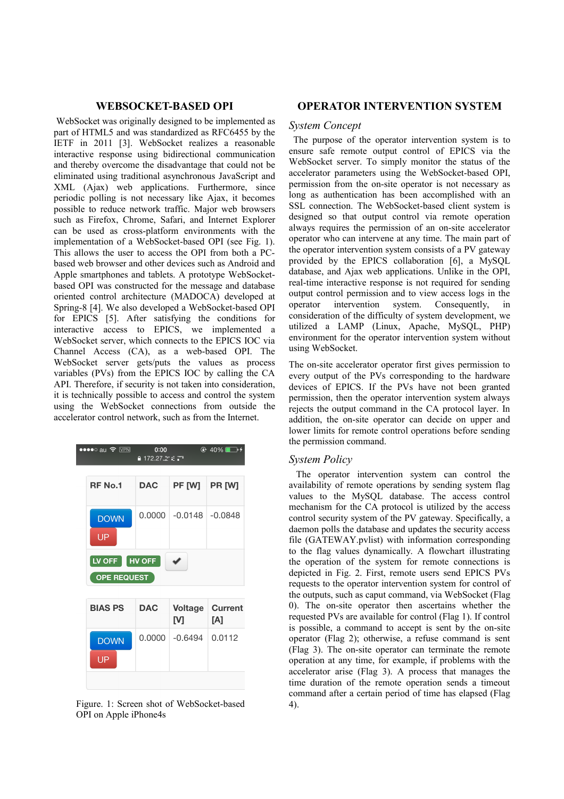### **WEBSOCKET-BASED OPI**

 WebSocket was originally designed to be implemented as part of HTML5 and was standardized as RFC6455 by the IETF in 2011 [3]. WebSocket realizes a reasonable interactive response using bidirectional communication and thereby overcome the disadvantage that could not be eliminated using traditional asynchronous JavaScript and XML (Ajax) web applications. Furthermore, since periodic polling is not necessary like Ajax, it becomes possible to reduce network traffic. Major web browsers such as Firefox, Chrome, Safari, and Internet Explorer can be used as cross-platform environments with the implementation of a WebSocket-based OPI (see Fig. 1). This allows the user to access the OPI from both a PCbased web browser and other devices such as Android and Apple smartphones and tablets. A prototype WebSocketbased OPI was constructed for the message and database oriented control architecture (MADOCA) developed at Spring-8 [4]. We also developed a WebSocket-based OPI for EPICS [5]. After satisfying the conditions for interactive access to EPICS, we implemented a WebSocket server, which connects to the EPICS IOC via Channel Access (CA), as a web-based OPI. The WebSocket server gets/puts the values as process variables (PVs) from the EPICS IOC by calling the CA API. Therefore, if security is not taken into consideration, it is technically possible to access and control the system using the WebSocket connections from outside the accelerator control network, such as from the Internet.

| $\bullet\bullet\bullet\circ$ au $\mathrel{\mathfrak{S}}$ $\overline{\text{VPN}}$ | 0:00<br>$2172.27 = 7$        |                     | $@.40\%$ $\rightarrow$ $40\%$ |  |  |  |  |
|----------------------------------------------------------------------------------|------------------------------|---------------------|-------------------------------|--|--|--|--|
| <b>RF No.1</b>                                                                   | <b>DAC</b>                   | PF [W]              | PR [W]                        |  |  |  |  |
| <b>DOWN</b><br>UP                                                                | 0.0000                       | $-0.0148$ $-0.0848$ |                               |  |  |  |  |
| LV OFF                                                                           | HV OFF<br><b>OPE REQUEST</b> |                     |                               |  |  |  |  |
| <b>BIAS PS</b>                                                                   | <b>DAC</b>                   | <b>Voltage</b><br>M | <b>Current</b><br>[A]         |  |  |  |  |
| <b>DOWN</b><br>UP                                                                | 0.0000                       | $-0.6494$           | 0.0112                        |  |  |  |  |
|                                                                                  |                              |                     |                               |  |  |  |  |

Figure. 1: Screen shot of WebSocket-based 4). OPI on Apple iPhone4s

### **OPERATOR INTERVENTION SYSTEM**

## *System Concept*

 The purpose of the operator intervention system is to ensure safe remote output control of EPICS via the WebSocket server. To simply monitor the status of the accelerator parameters using the WebSocket-based OPI, permission from the on-site operator is not necessary as long as authentication has been accomplished with an SSL connection. The WebSocket-based client system is designed so that output control via remote operation always requires the permission of an on-site accelerator operator who can intervene at any time. The main part of the operator intervention system consists of a PV gateway provided by the EPICS collaboration [6], a MySQL database, and Ajax web applications. Unlike in the OPI, real-time interactive response is not required for sending output control permission and to view access logs in the operator intervention system. Consequently, in consideration of the difficulty of system development, we utilized a LAMP (Linux, Apache, MySQL, PHP) environment for the operator intervention system without using WebSocket.

The on-site accelerator operator first gives permission to every output of the PVs corresponding to the hardware devices of EPICS. If the PVs have not been granted permission, then the operator intervention system always rejects the output command in the CA protocol layer. In addition, the on-site operator can decide on upper and lower limits for remote control operations before sending the permission command.

#### *System Policy*

 The operator intervention system can control the availability of remote operations by sending system flag values to the MySQL database. The access control mechanism for the CA protocol is utilized by the access control security system of the PV gateway. Specifically, a daemon polls the database and updates the security access file (GATEWAY.pvlist) with information corresponding to the flag values dynamically. A flowchart illustrating the operation of the system for remote connections is depicted in Fig. 2. First, remote users send EPICS PVs requests to the operator intervention system for control of the outputs, such as caput command, via WebSocket (Flag 0). The on-site operator then ascertains whether the requested PVs are available for control (Flag 1). If control is possible, a command to accept is sent by the on-site operator (Flag 2); otherwise, a refuse command is sent (Flag 3). The on-site operator can terminate the remote operation at any time, for example, if problems with the accelerator arise (Flag 3). A process that manages the time duration of the remote operation sends a timeout command after a certain period of time has elapsed (Flag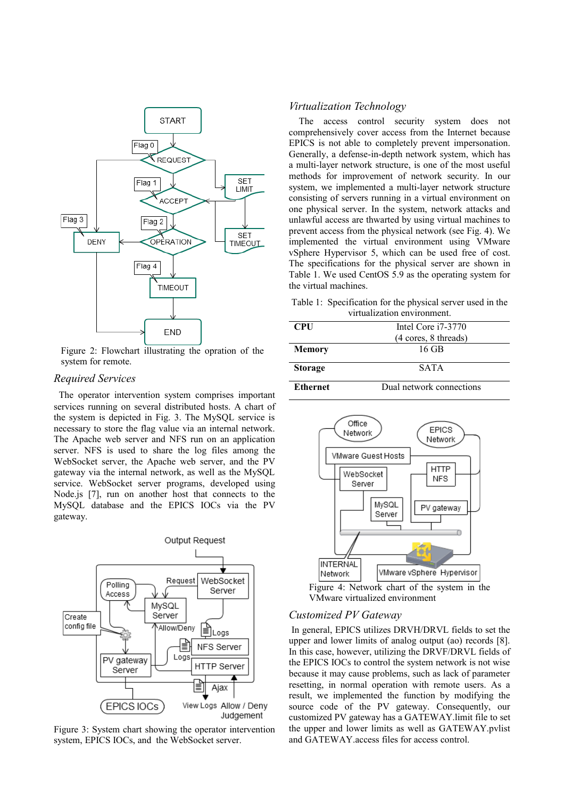

Figure 2: Flowchart illustrating the opration of the system for remote.

# *Required Services*

The operator intervention system comprises important services running on several distributed hosts. A chart of the system is depicted in Fig. 3. The MySQL service is necessary to store the flag value via an internal network. The Apache web server and NFS run on an application server. NFS is used to share the log files among the WebSocket server, the Apache web server, and the PV gateway via the internal network, as well as the MySQL service. WebSocket server programs, developed using Node.js [7], run on another host that connects to the MySQL database and the EPICS IOCs via the PV gateway.



Figure 3: System chart showing the operator intervention system, EPICS IOCs, and the WebSocket server.

### *Virtualization Technology*

The access control security system does not comprehensively cover access from the Internet because EPICS is not able to completely prevent impersonation. Generally, a defense-in-depth network system, which has a multi-layer network structure, is one of the most useful methods for improvement of network security. In our system, we implemented a multi-layer network structure consisting of servers running in a virtual environment on one physical server. In the system, network attacks and unlawful access are thwarted by using virtual machines to prevent access from the physical network (see Fig. 4). We implemented the virtual environment using VMware vSphere Hypervisor 5, which can be used free of cost. The specifications for the physical server are shown in Table 1. We used CentOS 5.9 as the operating system for the virtual machines.

Table 1: Specification for the physical server used in the virtualization environment.

| <b>CPU</b>      | Intel Core $i7-3770$     |  |  |  |  |
|-----------------|--------------------------|--|--|--|--|
|                 | (4 cores, 8 threads)     |  |  |  |  |
| Memory          | 16 GB                    |  |  |  |  |
| <b>Storage</b>  | <b>SATA</b>              |  |  |  |  |
| <b>Ethernet</b> | Dual network connections |  |  |  |  |



VMware virtualized environment

### *Customized PV Gateway*

In general, EPICS utilizes DRVH/DRVL fields to set the upper and lower limits of analog output (ao) records [8]. In this case, however, utilizing the DRVF/DRVL fields of the EPICS IOCs to control the system network is not wise because it may cause problems, such as lack of parameter resetting, in normal operation with remote users. As a result, we implemented the function by modifying the source code of the PV gateway. Consequently, our customized PV gateway has a GATEWAY.limit file to set the upper and lower limits as well as GATEWAY.pvlist and GATEWAY.access files for access control.